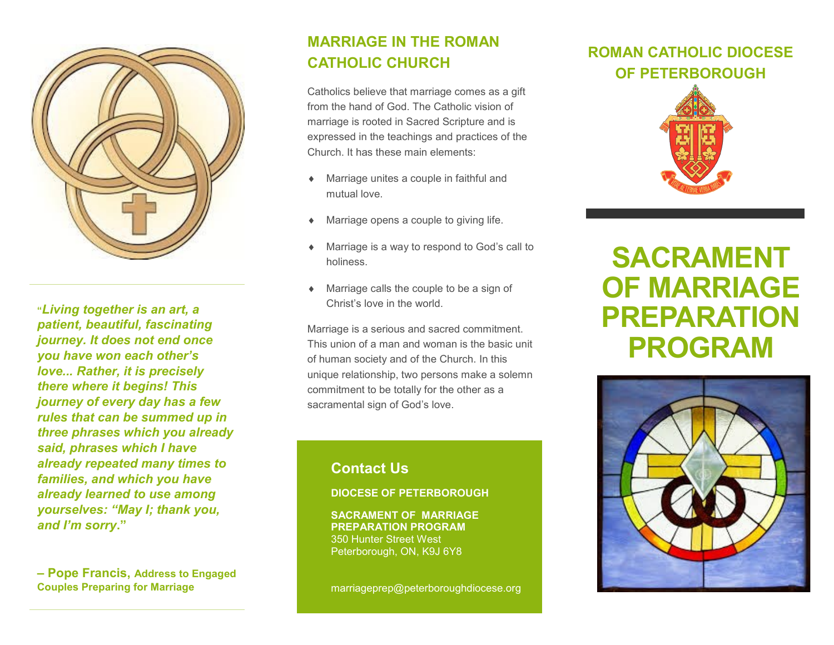

**"***Living together is an art, a patient, beautiful, fascinating journey. It does not end once you have won each other's love... Rather, it is precisely there where it begins! This journey of every day has a few rules that can be summed up in three phrases which you already said, phrases which I have already repeated many times to families, and which you have already learned to use among yourselves: "May I; thank you, and I'm sorry***."** 

**– Pope Francis, Address to Engaged Couples Preparing for Marriage**

### **MARRIAGE IN THE ROMAN CATHOLIC CHURCH**

Catholics believe that marriage comes as a gift from the hand of God. The Catholic vision of marriage is rooted in Sacred Scripture and is expressed in the teachings and practices of the Church. It has these main elements:

- Marriage unites a couple in faithful and mutual love.
- Marriage opens a couple to giving life.
- Marriage is a way to respond to God's call to holiness.
- Marriage calls the couple to be a sign of Christ's love in the world.

Marriage is a serious and sacred commitment. This union of a man and woman is the basic unit of human society and of the Church. In this unique relationship, two persons make a solemn commitment to be totally for the other as a sacramental sign of God's love.

#### **Contact Us**

#### **DIOCESE OF PETERBOROUGH**

**SACRAMENT OF MARRIAGE PREPARATION PROGRAM** 350 Hunter Street West Peterborough, ON, K9J 6Y8

marriageprep@peterboroughdiocese.org

# **ROMAN CATHOLIC DIOCESE OF PETERBOROUGH**



# **SACRAMENT OF MARRIAGE PREPARATION PROGRAM**